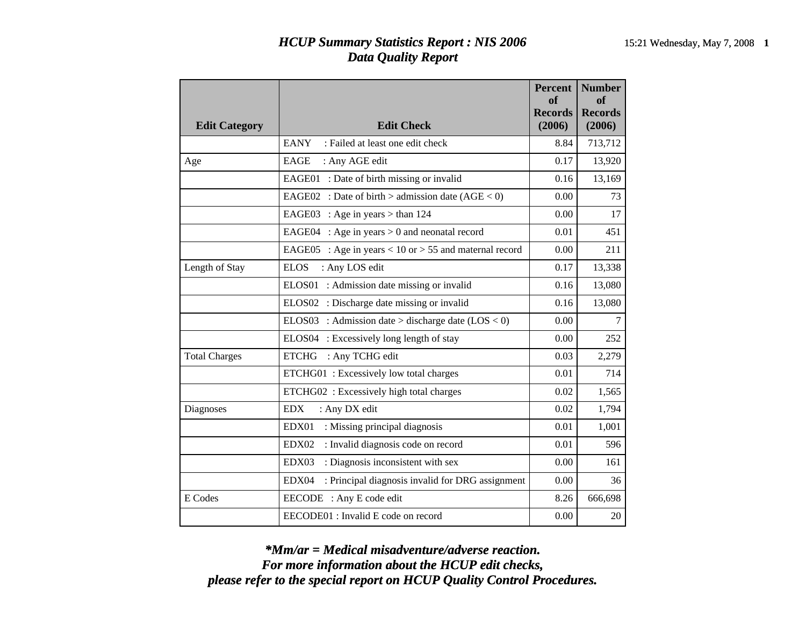## *HCUP Summary Statistics Report : NIS 2006* 15:21 Wednesday, May 7, 2008 1 *Data Quality Report*

| <b>Edit Category</b> | <b>Edit Check</b>                                         | <b>Percent</b><br>of<br><b>Records</b><br>(2006) | <b>Number</b><br>of<br><b>Records</b><br>(2006) |
|----------------------|-----------------------------------------------------------|--------------------------------------------------|-------------------------------------------------|
|                      | <b>EANY</b><br>: Failed at least one edit check           | 8.84                                             | 713,712                                         |
| Age                  | EAGE<br>: Any AGE edit                                    | 0.17                                             | 13,920                                          |
|                      | EAGE01 : Date of birth missing or invalid                 | 0.16                                             | 13,169                                          |
|                      | EAGE02 : Date of birth > admission date $(AGE < 0)$       | 0.00                                             | 73                                              |
|                      | EAGE03 : Age in years $>$ than 124                        | 0.00                                             | 17                                              |
|                      | EAGE04 : Age in years $> 0$ and neonatal record           | 0.01                                             | 451                                             |
|                      | EAGE05 : Age in years < 10 or > 55 and maternal record    | 0.00                                             | 211                                             |
| Length of Stay       | <b>ELOS</b><br>: Any LOS edit                             | 0.17                                             | 13,338                                          |
|                      | ELOS01<br>: Admission date missing or invalid             | 0.16                                             | 13,080                                          |
|                      | ELOS02 : Discharge date missing or invalid                | 0.16                                             | 13,080                                          |
|                      | ELOS03 : Admission date > discharge date $(LOS < 0)$      | 0.00                                             | $\tau$                                          |
|                      | ELOS04 : Excessively long length of stay                  | 0.00                                             | 252                                             |
| <b>Total Charges</b> | : Any TCHG edit<br><b>ETCHG</b>                           | 0.03                                             | 2,279                                           |
|                      | ETCHG01: Excessively low total charges                    | 0.01                                             | 714                                             |
|                      | ETCHG02: Excessively high total charges                   | 0.02                                             | 1,565                                           |
| Diagnoses            | <b>EDX</b><br>: Any DX edit                               | 0.02                                             | 1,794                                           |
|                      | EDX01<br>: Missing principal diagnosis                    | 0.01                                             | 1,001                                           |
|                      | EDX02<br>: Invalid diagnosis code on record               | 0.01                                             | 596                                             |
|                      | EDX03<br>: Diagnosis inconsistent with sex                | 0.00                                             | 161                                             |
|                      | : Principal diagnosis invalid for DRG assignment<br>EDX04 | 0.00                                             | 36                                              |
| E Codes              | EECODE : Any E code edit                                  | 8.26                                             | 666,698                                         |
|                      | EECODE01 : Invalid E code on record                       | 0.00                                             | 20                                              |

*please refer to the special report on HCUP Quality Control Procedures. For more information about the HCUP edit checks, \*Mm/ar = Medical misadventure/adverse reaction.*